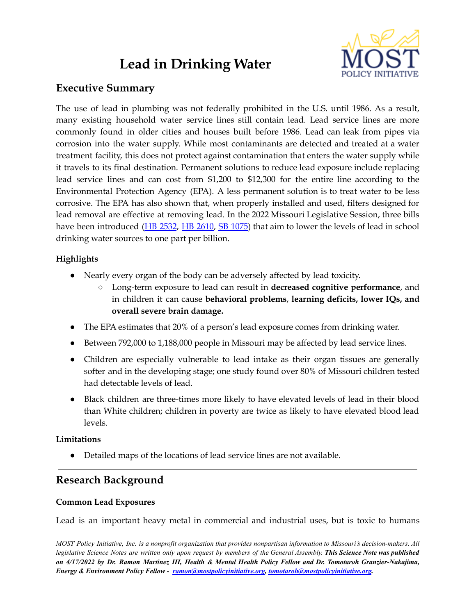# **Lead in Drinking Water**



# **Executive Summary**

The use of lead in plumbing was not federally prohibited in the U.S. until 1986. As a result, many existing household water service lines still contain lead. Lead service lines are more commonly found in older cities and houses built before 1986. Lead can leak from pipes via corrosion into the water supply. While most contaminants are detected and treated at a water treatment facility, this does not protect against contamination that enters the water supply while it travels to its final destination. Permanent solutions to reduce lead exposure include replacing lead service lines and can cost from \$1,200 to \$12,300 for the entire line according to the Environmental Protection Agency (EPA). A less permanent solution is to treat water to be less corrosive. The EPA has also shown that, when properly installed and used, filters designed for lead removal are effective at removing lead. In the 2022 Missouri Legislative Session, three bills have been introduced (HB [2532](https://house.mo.gov/Bill.aspx?bill=HB2532&year=2022&code=R), HB [2610,](https://house.mo.gov/Bill.aspx?bill=HB2610&year=2022&code=R) SB [1075](https://www.senate.mo.gov/22info/BTS_Web/Bill.aspx?SessionType=R&BillID=73755337)) that aim to lower the levels of lead in school drinking water sources to one part per billion.

# **Highlights**

- Nearly every organ of the body can be adversely affected by lead toxicity.
	- Long-term exposure to lead can result in **decreased cognitive performance**, and in children it can cause **behavioral problems**, **learning deficits, lower IQs, and overall severe brain damage.**
- The EPA estimates that 20% of a person's lead exposure comes from drinking water.
- Between 792,000 to 1,188,000 people in Missouri may be affected by lead service lines.
- Children are especially vulnerable to lead intake as their organ tissues are generally softer and in the developing stage; one study found over 80% of Missouri children tested had detectable levels of lead.
- Black children are three-times more likely to have elevated levels of lead in their blood than White children; children in poverty are twice as likely to have elevated blood lead levels.

## **Limitations**

● Detailed maps of the locations of lead service lines are not available.

# **Research Background**

## **Common Lead Exposures**

Lead is an important heavy metal in commercial and industrial uses, but is toxic to humans

MOST Policy Initiative, Inc. is a nonprofit organization that provides nonpartisan information to Missouri's decision-makers. All legislative Science Notes are written only upon request by members of the General Assembly. This Science Note was published on 4/17/2022 by Dr. Ramon Martinez III, Health & Mental Health Policy Fellow and Dr. Tomotaroh Granzier-Nakajima, *Energy & Environment Policy Fellow - [ramon@mostpolicyinitiative.org,](mailto:ramon@mostpolicyinitiative.org) [tomotaroh@mostpolicyinitiative.org](mailto:tomotaroh@mostpolicyinitiative.org).*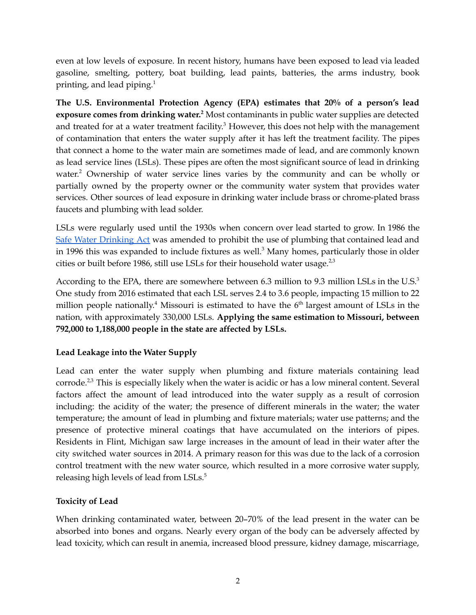even at low levels of exposure. In recent history, humans have been exposed to lead via leaded gasoline, smelting, pottery, boat building, lead paints, batteries, the arms industry, book printing, and lead piping. 1

**The U.S. Environmental Protection Agency (EPA) estimates that 20% of a person's lead exposure comes from drinking water. <sup>2</sup>** Most contaminants in public water supplies are detected and treated for at a water treatment facility.<sup>3</sup> However, this does not help with the management of contamination that enters the water supply after it has left the treatment facility. The pipes that connect a home to the water main are sometimes made of lead, and are commonly known as lead service lines (LSLs). These pipes are often the most significant source of lead in drinking water. <sup>2</sup> Ownership of water service lines varies by the community and can be wholly or partially owned by the property owner or the community water system that provides water services. Other sources of lead exposure in drinking water include brass or chrome-plated brass faucets and plumbing with lead solder.

LSLs were regularly used until the 1930s when concern over lead started to grow. In 1986 the Safe Water [Drinking](https://www.epa.gov/laws-regulations/summary-safe-drinking-water-act#:~:text=(1974),above%20ground%20or%20underground%20sources.) Act was amended to prohibit the use of plumbing that contained lead and in 1996 this was expanded to include fixtures as well. <sup>3</sup> Many homes, particularly those in older cities or built before 1986, still use LSLs for their household water usage. $^{2,3}$ 

According to the EPA, there are somewhere between 6.3 million to 9.3 million LSLs in the U.S.<sup>3</sup> One study from 2016 estimated that each LSL serves 2.4 to 3.6 people, impacting 15 million to 22 million people nationally.<sup>4</sup> Missouri is estimated to have the  $6<sup>th</sup>$  largest amount of LSLs in the nation, with approximately 330,000 LSLs. **Applying the same estimation to Missouri, between 792,000 to 1,188,000 people in the state are affected by LSLs.**

## **Lead Leakage into the Water Supply**

Lead can enter the water supply when plumbing and fixture materials containing lead corrode.<sup>2,3</sup> This is especially likely when the water is acidic or has a low mineral content. Several factors affect the amount of lead introduced into the water supply as a result of corrosion including: the acidity of the water; the presence of different minerals in the water; the water temperature; the amount of lead in plumbing and fixture materials; water use patterns; and the presence of protective mineral coatings that have accumulated on the interiors of pipes. Residents in Flint, Michigan saw large increases in the amount of lead in their water after the city switched water sources in 2014. A primary reason for this was due to the lack of a corrosion control treatment with the new water source, which resulted in a more corrosive water supply, releasing high levels of lead from LSLs. 5

## **Toxicity of Lead**

When drinking contaminated water, between 20–70% of the lead present in the water can be absorbed into bones and organs. Nearly every organ of the body can be adversely affected by lead toxicity, which can result in anemia, increased blood pressure, kidney damage, miscarriage,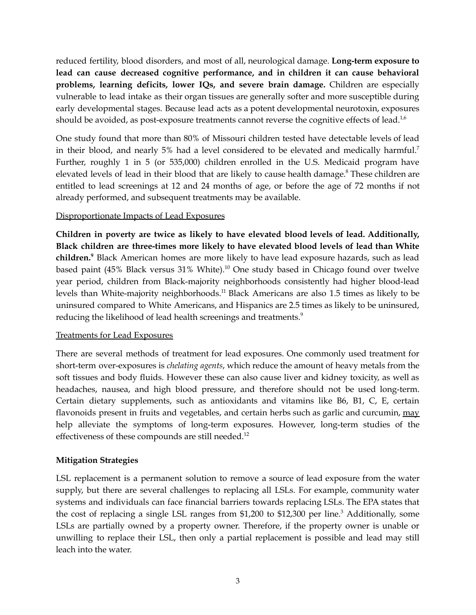reduced fertility, blood disorders, and most of all, neurological damage. **Long-term exposure to lead can cause decreased cognitive performance, and in children it can cause behavioral problems, learning deficits, lower IQs, and severe brain damage.** Children are especially vulnerable to lead intake as their organ tissues are generally softer and more susceptible during early developmental stages. Because lead acts as a potent developmental neurotoxin, exposures should be avoided, as post-exposure treatments cannot reverse the cognitive effects of lead. $^{1,6}$ 

One study found that more than 80% of Missouri children tested have detectable levels of lead in their blood, and nearly 5% had a level considered to be elevated and medically harmful.<sup>7</sup> Further, roughly 1 in 5 (or 535,000) children enrolled in the U.S. Medicaid program have elevated levels of lead in their blood that are likely to cause health damage. <sup>8</sup> These children are entitled to lead screenings at 12 and 24 months of age, or before the age of 72 months if not already performed, and subsequent treatments may be available.

#### Disproportionate Impacts of Lead Exposures

**Children in poverty are twice as likely to have elevated blood levels of lead. Additionally, Black children are three-times more likely to have elevated blood levels of lead than White children. <sup>9</sup>** Black American homes are more likely to have lead exposure hazards, such as lead based paint (45% Black versus 31% White). <sup>10</sup> One study based in Chicago found over twelve year period, children from Black-majority neighborhoods consistently had higher blood-lead levels than White-majority neighborhoods.<sup>11</sup> Black Americans are also 1.5 times as likely to be uninsured compared to White Americans, and Hispanics are 2.5 times as likely to be uninsured, reducing the likelihood of lead health screenings and treatments.<sup>9</sup>

#### Treatments for Lead Exposures

There are several methods of treatment for lead exposures. One commonly used treatment for short-term over-exposures is *chelating agents*, which reduce the amount of heavy metals from the soft tissues and body fluids. However these can also cause liver and kidney toxicity, as well as headaches, nausea, and high blood pressure, and therefore should not be used long-term. Certain dietary supplements, such as antioxidants and vitamins like B6, B1, C, E, certain flavonoids present in fruits and vegetables, and certain herbs such as garlic and curcumin, may help alleviate the symptoms of long-term exposures. However, long-term studies of the effectiveness of these compounds are still needed.<sup>12</sup>

## **Mitigation Strategies**

LSL replacement is a permanent solution to remove a source of lead exposure from the water supply, but there are several challenges to replacing all LSLs. For example, community water systems and individuals can face financial barriers towards replacing LSLs. The EPA states that the cost of replacing a single LSL ranges from \$1,200 to \$12,300 per line.<sup>3</sup> Additionally, some LSLs are partially owned by a property owner. Therefore, if the property owner is unable or unwilling to replace their LSL, then only a partial replacement is possible and lead may still leach into the water.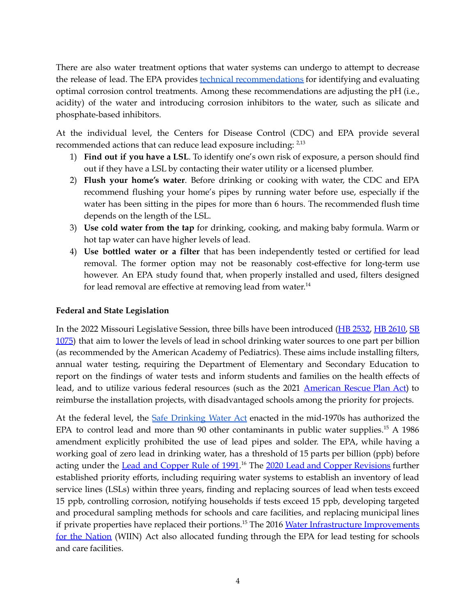There are also water treatment options that water systems can undergo to attempt to decrease the release of lead. The EPA provides **technical [recommendations](https://www.epa.gov/sites/default/files/2019-07/documents/occtmarch2016updated.pdf)** for identifying and evaluating optimal corrosion control treatments. Among these recommendations are adjusting the pH (i.e., acidity) of the water and introducing corrosion inhibitors to the water, such as silicate and phosphate-based inhibitors.

At the individual level, the Centers for Disease Control (CDC) and EPA provide several recommended actions that can reduce lead exposure including:  $2.13$ 

- 1) **Find out if you have a LSL**. To identify one's own risk of exposure, a person should find out if they have a LSL by contacting their water utility or a licensed plumber.
- 2) **Flush your home's water**. Before drinking or cooking with water, the CDC and EPA recommend flushing your home's pipes by running water before use, especially if the water has been sitting in the pipes for more than 6 hours. The recommended flush time depends on the length of the LSL.
- 3) **Use cold water from the tap** for drinking, cooking, and making baby formula. Warm or hot tap water can have higher levels of lead.
- 4) **Use bottled water or a filter** that has been independently tested or certified for lead removal. The former option may not be reasonably cost-effective for long-term use however. An EPA study found that, when properly installed and used, filters designed for lead removal are effective at removing lead from water.<sup>14</sup>

#### **Federal and State Legislation**

In the 2022 Missouri Legislative Session, three bills have been introduced (HB [2532,](https://house.mo.gov/Bill.aspx?bill=HB2532&year=2022&code=R) HB [2610,](https://house.mo.gov/Bill.aspx?bill=HB2610&year=2022&code=R) [SB](https://www.senate.mo.gov/22info/BTS_Web/Bill.aspx?SessionType=R&BillID=73755337) [1075\)](https://www.senate.mo.gov/22info/BTS_Web/Bill.aspx?SessionType=R&BillID=73755337) that aim to lower the levels of lead in school drinking water sources to one part per billion (as recommended by the American Academy of Pediatrics). These aims include installing filters, annual water testing, requiring the Department of Elementary and Secondary Education to report on the findings of water tests and inform students and families on the health effects of lead, and to utilize various federal resources (such as the 2021 [American](https://www.congress.gov/bill/117th-congress/house-bill/1319/text) Rescue Plan Act) to reimburse the installation projects, with disadvantaged schools among the priority for projects.

At the federal level, the Safe [Drinking](https://www.epa.gov/laws-regulations/summary-safe-drinking-water-act#:~:text=(1974),above%20ground%20or%20underground%20sources.) Water Act enacted in the mid-1970s has authorized the EPA to control lead and more than 90 other contaminants in public water supplies.<sup>15</sup> A 1986 amendment explicitly prohibited the use of lead pipes and solder. The EPA, while having a working goal of zero lead in drinking water, has a threshold of 15 parts per billion (ppb) before acting under the Lead and [Copper](https://www.epa.gov/dwreginfo/lead-and-copper-rule#:~:text=The%201991%20Rule,-In%201991%2C%20EPA&text=The%20rule%20replaced%20the%20previous,copper%20within%20the%20distribution%20system.) Rule of 1991.<sup>16</sup> The 2020 Lead and Copper [Revisions](https://www.regulations.gov/document/EPA-HQ-OW-2017-0300-0001) further established priority efforts, including requiring water systems to establish an inventory of lead service lines (LSLs) within three years, finding and replacing sources of lead when tests exceed 15 ppb, controlling corrosion, notifying households if tests exceed 15 ppb, developing targeted and procedural sampling methods for schools and care facilities, and replacing municipal lines if private properties have replaced their portions.<sup>15</sup> The 2016 Water Infrastructure [Improvements](https://www.congress.gov/bill/114th-congress/senate-bill/612) for the [Nation](https://www.congress.gov/bill/114th-congress/senate-bill/612) (WIIN) Act also allocated funding through the EPA for lead testing for schools and care facilities.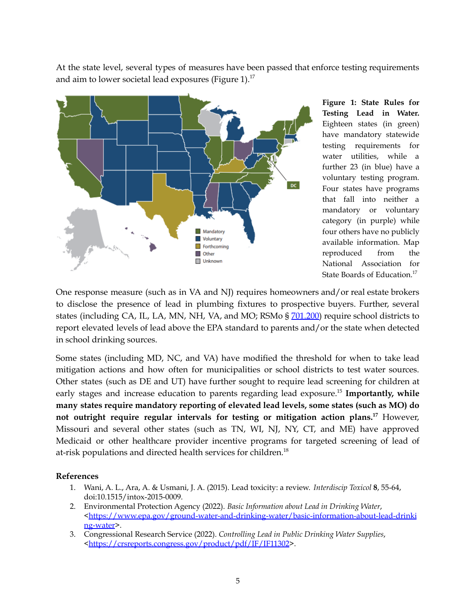At the state level, several types of measures have been passed that enforce testing requirements and aim to lower societal lead exposures (Figure 1). $^{17}$ 



**Figure 1: State Rules for Testing Lead in Water.** Eighteen states (in green) have mandatory statewide testing requirements for water utilities, while a further 23 (in blue) have a voluntary testing program. Four states have programs that fall into neither a mandatory or voluntary category (in purple) while four others have no publicly available information. Map reproduced from the National Association for State Boards of Education. 17

One response measure (such as in VA and NJ) requires homeowners and/or real estate brokers to disclose the presence of lead in plumbing fixtures to prospective buyers. Further, several states (including CA, IL, LA, MN, NH, VA, and MO; RSMo § [701.200\)](https://revisor.mo.gov/main/OneSection.aspx?section=701.200) require school districts to report elevated levels of lead above the EPA standard to parents and/or the state when detected in school drinking sources.

Some states (including MD, NC, and VA) have modified the threshold for when to take lead mitigation actions and how often for municipalities or school districts to test water sources. Other states (such as DE and UT) have further sought to require lead screening for children at early stages and increase education to parents regarding lead exposure. 15 **Importantly, while many states require mandatory reporting of elevated lead levels, some states (such as MO) do not outright require regular intervals for testing or mitigation action plans. <sup>17</sup>** However, Missouri and several other states (such as TN, WI, NJ, NY, CT, and ME) have approved Medicaid or other healthcare provider incentive programs for targeted screening of lead of at-risk populations and directed health services for children. 18

#### **References**

- 1. Wani, A. L., Ara, A. & Usmani, J. A. (2015). Lead toxicity: a review. *Interdiscip Toxicol* **8**, 55-64, doi:10.1515/intox-2015-0009.
- 2. Environmental Protection Agency (2022). *Basic Information about Lead in Drinking Water*, [<https://www.epa.gov/ground-water-and-drinking-water/basic-information-about-lead-drinki](https://www.epa.gov/ground-water-and-drinking-water/basic-information-about-lead-drinking-water) [ng-water](https://www.epa.gov/ground-water-and-drinking-water/basic-information-about-lead-drinking-water)>.
- 3. Congressional Research Service (2022). *Controlling Lead in Public Drinking Water Supplies*, [<https://crsreports.congress.gov/product/pdf/IF/IF11302](https://crsreports.congress.gov/product/pdf/IF/IF11302)>.